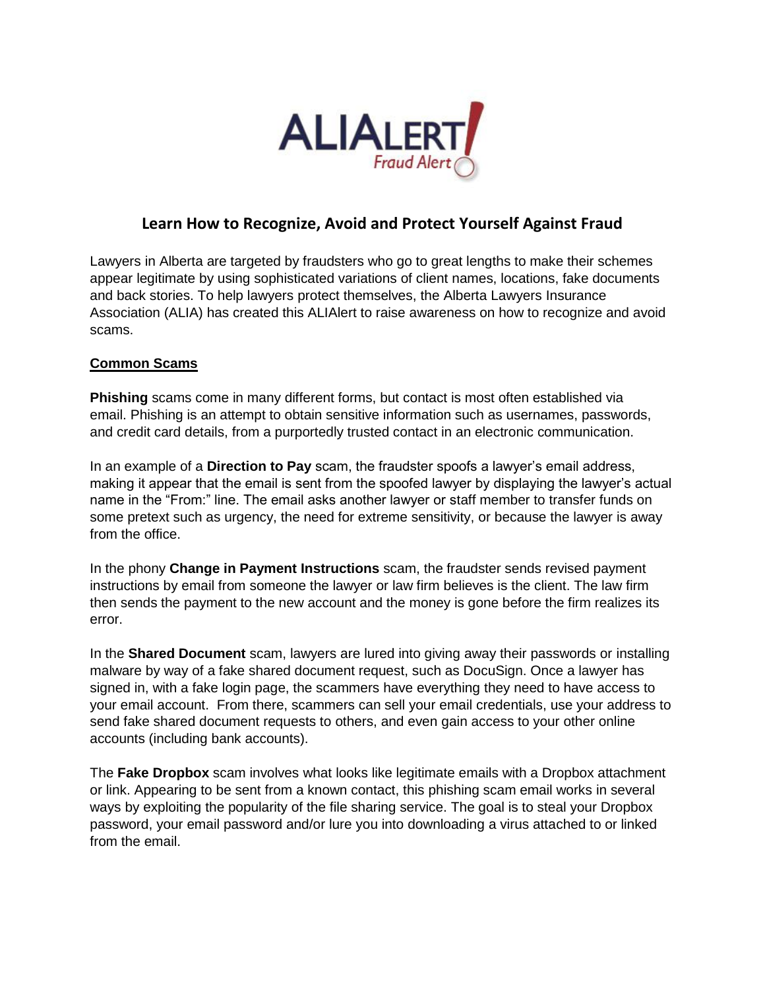

## **Learn How to Recognize, Avoid and Protect Yourself Against Fraud**

Lawyers in Alberta are targeted by fraudsters who go to great lengths to make their schemes appear legitimate by using sophisticated variations of client names, locations, fake documents and back stories. To help lawyers protect themselves, the Alberta Lawyers Insurance Association (ALIA) has created this ALIAlert to raise awareness on how to recognize and avoid scams.

## **Common Scams**

**Phishing** scams come in many different forms, but contact is most often established via email. Phishing is an attempt to obtain sensitive information such as usernames, passwords, and credit card details, from a purportedly trusted contact in an electronic communication.

In an example of a **Direction to Pay** scam, the fraudster spoofs a lawyer's email address, making it appear that the email is sent from the spoofed lawyer by displaying the lawyer's actual name in the "From:" line. The email asks another lawyer or staff member to transfer funds on some pretext such as urgency, the need for extreme sensitivity, or because the lawyer is away from the office.

In the phony **Change in Payment Instructions** scam, the fraudster sends revised payment instructions by email from someone the lawyer or law firm believes is the client. The law firm then sends the payment to the new account and the money is gone before the firm realizes its error.

In the **Shared Document** scam, lawyers are lured into giving away their passwords or installing malware by way of a fake shared document request, such as DocuSign. Once a lawyer has signed in, with a fake login page, the scammers have everything they need to have access to your email account. From there, scammers can sell your email credentials, use your address to send fake shared document requests to others, and even gain access to your other online accounts (including bank accounts).

The **Fake Dropbox** scam involves what looks like legitimate emails with a Dropbox attachment or link. Appearing to be sent from a known contact, this phishing scam email works in several ways by exploiting the popularity of the file sharing service. The goal is to steal your Dropbox password, your email password and/or lure you into downloading a virus attached to or linked from the email.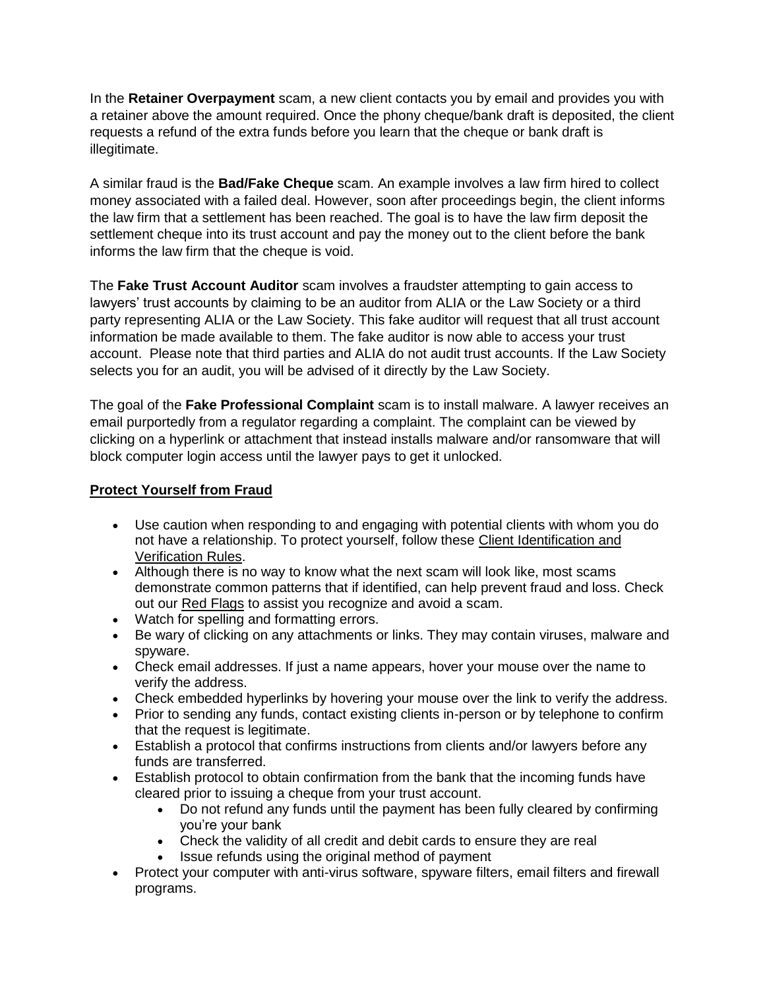In the **Retainer Overpayment** scam, a new client contacts you by email and provides you with a retainer above the amount required. Once the phony cheque/bank draft is deposited, the client requests a refund of the extra funds before you learn that the cheque or bank draft is illegitimate.

A similar fraud is the **Bad/Fake Cheque** scam. An example involves a law firm hired to collect money associated with a failed deal. However, soon after proceedings begin, the client informs the law firm that a settlement has been reached. The goal is to have the law firm deposit the settlement cheque into its trust account and pay the money out to the client before the bank informs the law firm that the cheque is void.

The **Fake Trust Account Auditor** scam involves a fraudster attempting to gain access to lawyers' trust accounts by claiming to be an auditor from ALIA or the Law Society or a third party representing ALIA or the Law Society. This fake auditor will request that all trust account information be made available to them. The fake auditor is now able to access your trust account. Please note that third parties and ALIA do not audit trust accounts. If the Law Society selects you for an audit, you will be advised of it directly by the Law Society.

The goal of the **Fake Professional Complaint** scam is to install malware. A lawyer receives an email purportedly from a regulator regarding a complaint. The complaint can be viewed by clicking on a hyperlink or attachment that instead installs malware and/or ransomware that will block computer login access until the lawyer pays to get it unlocked.

## **Protect Yourself from Fraud**

- Use caution when responding to and engaging with potential clients with whom you do not have a relationship. To protect yourself, follow these [Client Identification and](https://www.lawsociety.ab.ca/lawyers-and-students/fraud-and-loss-prevention/clinet-id-and-verification/)  [Verification Rules.](https://www.lawsociety.ab.ca/lawyers-and-students/fraud-and-loss-prevention/clinet-id-and-verification/)
- Although there is no way to know what the next scam will look like, most scams demonstrate common patterns that if identified, can help prevent fraud and loss. Check out our [Red Flags](https://www.lawsociety.ab.ca/lawyers-and-students/fraud-and-loss-prevention/red-flags/) to assist you recognize and avoid a scam.
- Watch for spelling and formatting errors.
- Be wary of clicking on any attachments or links. They may contain viruses, malware and spyware.
- Check email addresses. If just a name appears, hover your mouse over the name to verify the address.
- Check embedded hyperlinks by hovering your mouse over the link to verify the address.
- Prior to sending any funds, contact existing clients in-person or by telephone to confirm that the request is legitimate.
- Establish a protocol that confirms instructions from clients and/or lawyers before any funds are transferred.
- Establish protocol to obtain confirmation from the bank that the incoming funds have cleared prior to issuing a cheque from your trust account.
	- Do not refund any funds until the payment has been fully cleared by confirming you're your bank
	- Check the validity of all credit and debit cards to ensure they are real
	- Issue refunds using the original method of payment
- Protect your computer with anti-virus software, spyware filters, email filters and firewall programs.